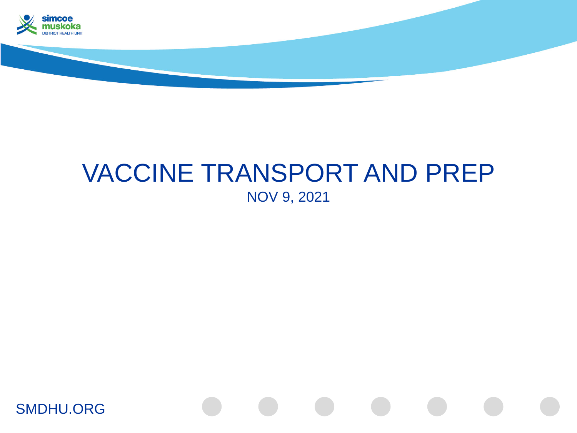

## VACCINE TRANSPORT AND PREP NOV 9, 2021

SMDHU.ORG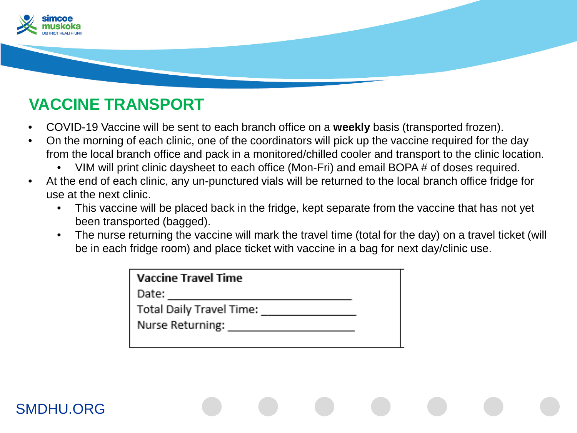

## **VACCINE TRANSPORT**

- COVID-19 Vaccine will be sent to each branch office on a **weekly** basis (transported frozen).
- On the morning of each clinic, one of the coordinators will pick up the vaccine required for the day from the local branch office and pack in a monitored/chilled cooler and transport to the clinic location.
	- VIM will print clinic daysheet to each office (Mon-Fri) and email BOPA # of doses required.
- At the end of each clinic, any un-punctured vials will be returned to the local branch office fridge for use at the next clinic.
	- This vaccine will be placed back in the fridge, kept separate from the vaccine that has not yet been transported (bagged).
	- The nurse returning the vaccine will mark the travel time (total for the day) on a travel ticket (will be in each fridge room) and place ticket with vaccine in a bag for next day/clinic use.

| <b>Vaccine Travel Time</b> |
|----------------------------|
| Date:                      |
| Total Daily Travel Time:   |
| Nurse Returning:           |
|                            |

## SMDHU.ORG